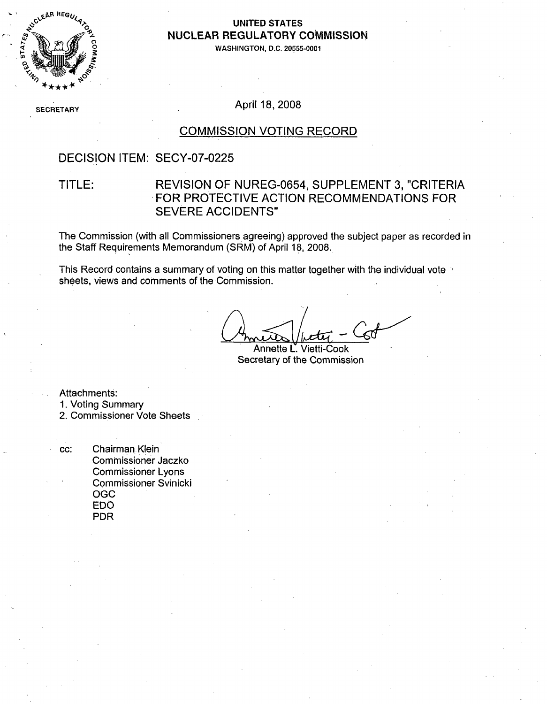

#### **UNITED STATES NUCLEAR** REGULATORY **COMMISSION**

**WASHINGTON, D.C. 20555-0001**

## SECRETARY **April 18, 2008**

### COMMISSION VOTING RECORD

### DECISION ITEM: SECY-07-0225

### TITLE: REVISION OF NUREG-0654, SUPPLEMENT 3, "CRITERIA FOR PROTECTIVE ACTION RECOMMENDATIONS FOR SEVERE ACCIDENTS"

The Commission (with all Commissioners agreeing) approved the subject paper as recorded in the Staff Requirements Memorandum (SRM) of April 18, 2008.

This Record contains a summary of voting on this matter together with the individual vote  $\gamma$ sheets, views and comments of the Commission.

Annette L' Vietti-Cook Secretary of the Commission

Attachments:

1. Voting Summary

2. Commissioner Vote Sheets

cc: Chairman Klein Commissioner Jaczko Commissioner Lyons Commissioner Svinicki OGC EDO PDR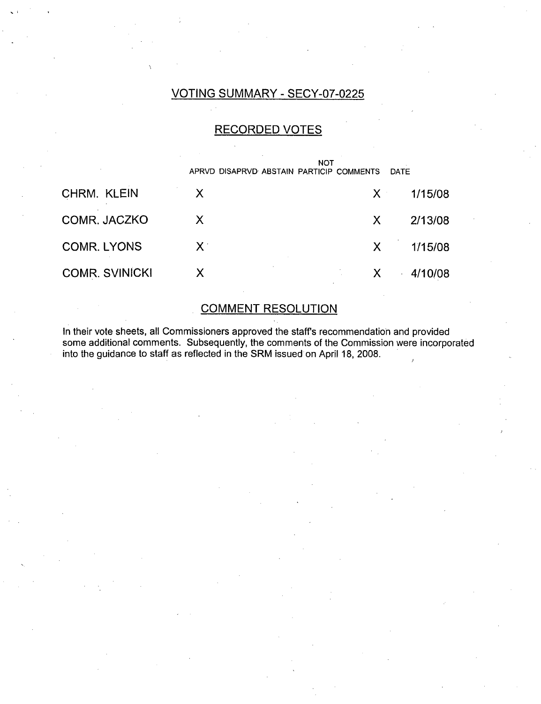## VOTING SUMMARY - SECY-07-0225

#### RECORDED VOTES

|                       | APRVD DISAPRVD ABSTAIN PARTICIP COMMENTS | DATE         |         |
|-----------------------|------------------------------------------|--------------|---------|
| CHRM. KLEIN           | X                                        | $X -$        | 1/15/08 |
| COMR. JACZKO          | $\mathsf{X}$                             | $\mathsf{X}$ | 2/13/08 |
| <b>COMR. LYONS</b>    | $X^{\cdot}$                              | $\mathsf{X}$ | 1/15/08 |
| <b>COMR. SVINICKI</b> | $\mathsf{X}$                             | $\mathsf{X}$ | 4/10/08 |

## COMMENT RESOLUTION

In their vote sheets, all Commissioners approved the staffs recommendation and provided some additional comments. Subsequently, the comments of the Commission were incorporated into the guidance to staff as reflected in the SRM issued on April 18, 2008.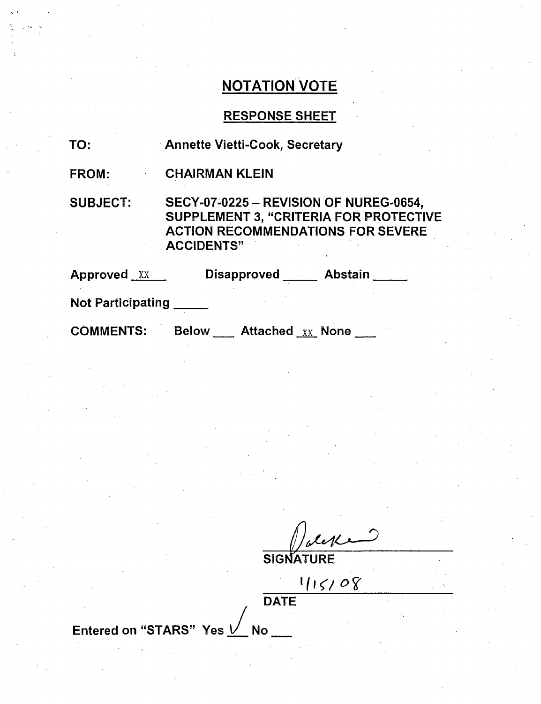## RESPONSE SHEET

| TO:                     | <b>Annette Vietti-Cook, Secretary</b>                                                                                                                           |  |  |
|-------------------------|-----------------------------------------------------------------------------------------------------------------------------------------------------------------|--|--|
| FROM:                   | <b>CHAIRMAN KLEIN</b>                                                                                                                                           |  |  |
| <b>SUBJECT:</b>         | <b>SECY-07-0225 - REVISION OF NUREG-0654,</b><br><b>SUPPLEMENT 3, "CRITERIA FOR PROTECTIVE</b><br><b>ACTION RECOMMENDATIONS FOR SEVERE</b><br><b>ACCIDENTS"</b> |  |  |
| Approved XX             | Disapproved ______ Abstain __                                                                                                                                   |  |  |
| Not Participating _____ |                                                                                                                                                                 |  |  |
| <b>COMMENTS:</b>        | Below ____ Attached xx None ___                                                                                                                                 |  |  |

**SIGNATURE** 

 $5/0$ 

DATE Entered on "STARS" Yes  $\vee$  No \_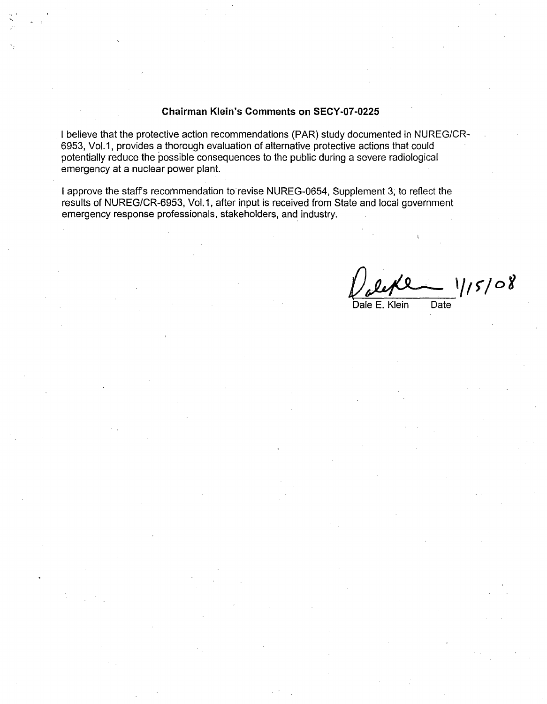#### Chairman Klein's Comments on **SECY-07-0225**

I believe that the protective action recommendations (PAR) study documented in NUREG/CR-6953, Vol.1, provides a thorough evaluation of alternative protective actions that could potentially reduce the possible consequences to the public during a severe radiological emergency at a nuclear power plant.

I approve the staff's recommendation to revise NUREG-0654, Supplement 3, to reflect the results of NUREG/CR-6953, Vol.1, after input is received from State and local government emergency response professionals, stakeholders, and industry.

 $1/5/08$ 

Dale E. Klein Date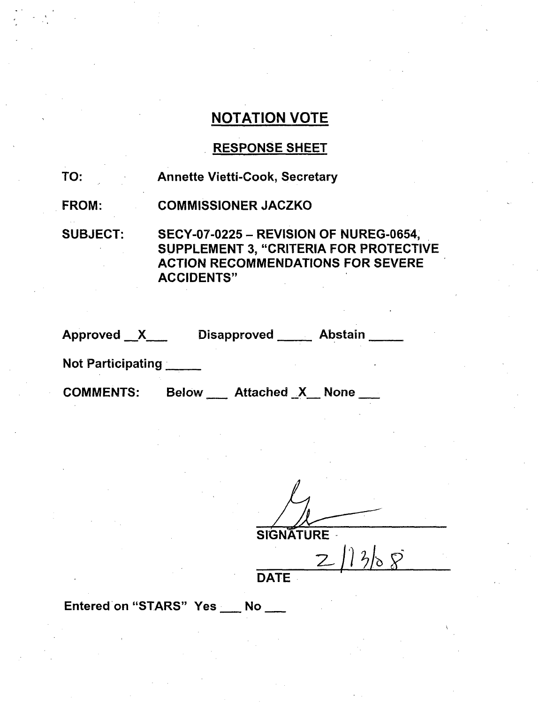## RESPONSE SHEET

| TO:             | <b>Annette Vietti-Cook, Secretary</b>                                                                                                                    |
|-----------------|----------------------------------------------------------------------------------------------------------------------------------------------------------|
| <b>FROM:</b>    | <b>COMMISSIONER JACZKO</b>                                                                                                                               |
| <b>SUBJECT:</b> | <b>SECY-07-0225 - REVISION OF NUREG-0654,</b><br>SUPPLEMENT 3, "CRITERIA FOR PROTECTIVE<br><b>ACTION RECOMMENDATIONS FOR SEVERE</b><br><b>ACCIDENTS"</b> |

| Approved X | Disapproved _____ | <b>Abstain</b> |  |
|------------|-------------------|----------------|--|
|            |                   |                |  |

Not Participating

COMMENTS: Below \_\_ Attached X None

**SIGNATURE** 

 $\frac{2}{\sqrt{3}}$ 

Entered on "STARS" Yes \_\_ No \_\_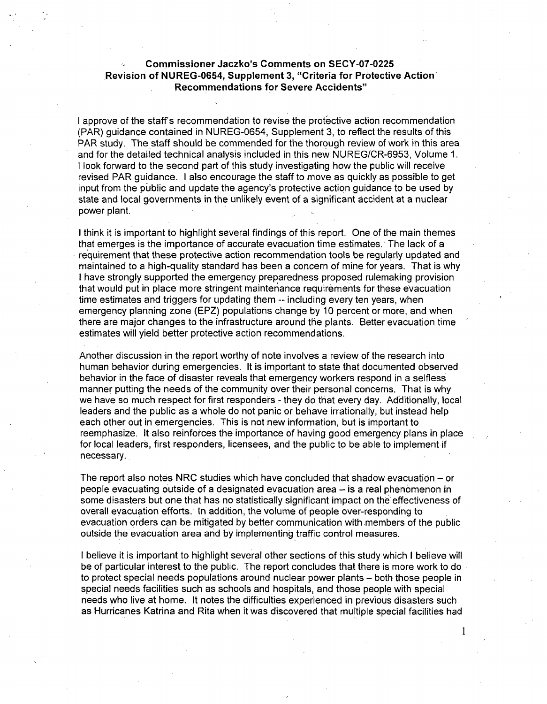#### Commissioner Jaczko's Comments on **SECY-07-0225** ,Revision of **NUREG-0654,** Supplement **3,** "Criteria for Protective Action Recommendations for Severe Accidents"

I approve of the staff's recommendation to revise the protective action recommendation (PAR) guidance contained in NUREG-0654, Supplement 3, to reflect the results of this PAR study. The staff should be commended for the thorough review of work in this area and for the detailed technical analysis included in this new NUREG/CR-6953, Volume 1. I look forward to the second part of this study investigating how the public will receive revised PAR guidance. I also encourage the staff to move as quickly as possible to get input from the public and update the agency's protective action guidance to be used by state and local governments in the unlikely event of a significant accident at a nuclear power plant.

I think it is important to highlight several findings of this report. One of the main themes that emerges is the importance of accurate evacuation time estimates. The lack of a requirement that these protective action recommendation tools be regularly updated and maintained to a high-quality standard has been a concern of mine for years. That is why I have strongly supported the emergency preparedness proposed rulemaking provision that would put in place more stringent maintenance requirements for these evacuation time estimates and triggers for updating them -- including every ten years, when emergency planning zone (EPZ) populations change by 10 percent or more, and when there are major changes to the infrastructure around the plants. Better evacuation time estimates will yield better protective action recommendations.

Another discussion in the report worthy of note involves a review of the research into human behavior during emergencies. It is important to state that documented observed behavior in the face of disaster reveals that emergency workers respond in a selfless manner putting the needs of the community over their personal concerns. That is why we have so much respect for first responders - they do that every day. Additionally, local leaders and the public as a whole do not panic or behave irrationally, but instead help each other out in emergencies. This is not new information, but is important to reemphasize. It also reinforces the importance of having good emergency plans in place for local leaders, first responders, licensees, and the public to be able to implement if necessary.

The report also notes NRC studies which have concluded that shadow evacuation  $-$  or people evacuating outside of a designated evacuation area - is a real phenomenon in some disasters but one that has no statistically significant impact on the effectiveness of overall evacuation efforts. In addition, the volume of people over-responding to evacuation orders can be mitigated by better communication with members of the public outside the evacuation area and by implementing traffic control measures.

I believe it is important to highlight several other sections of this study which I believe will be of particular interest to the public. The report concludes that there is more work to do to protect special needs populations around nuclear power plants - both those people in special needs facilities such as schools and hospitals, and those people with special needs who live at home. It notes the difficulties experienced in previous disasters such as Hurricanes Katrina and Rita when it was discovered that multiple special facilities had

1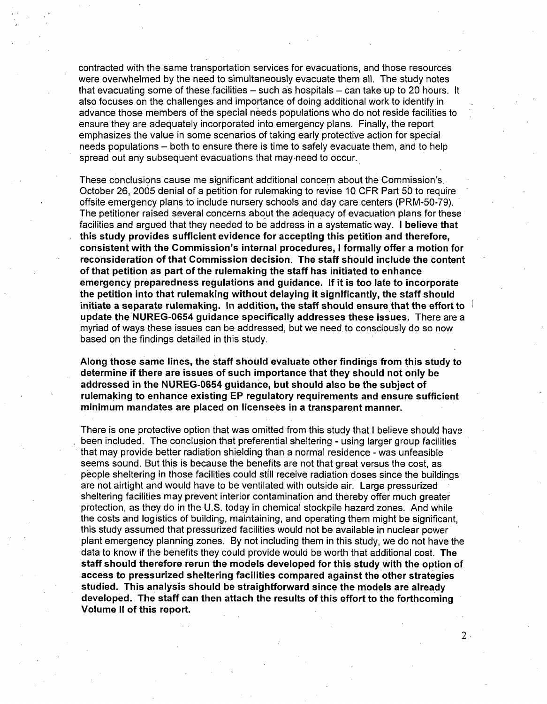contracted with the same transportation services for evacuations, and those resources were overwhelmed by the need to simultaneously evacuate them all. The study notes that evacuating some of these facilities  $-$  such as hospitals  $-$  can take up to 20 hours. It also focuses on the challenges and importance of doing additional work to identify in advance those members of the special needs populations who do not reside facilities to ensure they are adequately incorporated into emergency plans. Finally, the report emphasizes the value in some scenarios of taking early protective action for special needs populations – both to ensure there is time to safely evacuate them, and to help spread out any subsequent evacuations that may need to occur.

These conclusions cause me significant additional concern about the Commission's October 26, 2005 denial of a petition for rulemaking to revise 10 CFR Part 50 to require offsite emergency plans to include nursery schools and day care centers (PRM-50-79). The petitioner raised several concerns about the adequacy of evacuation plans for these facilities and argued that they needed to be address in a systematic way. **I** believe that this study provides sufficient evidence for accepting this petition and therefore, consistent with the Commission's internal procedures, **I** formally offer a motion for reconsideration of that Commission decision. The staff should include the content of that petition as part of the rulemaking the staff has initiated to enhance emergency preparedness regulations and guidance. **If** it is too late to incorporate the petition into that rulemaking without delaying it significantly, the staff should initiate a separate rulemaking. In addition, the staff should ensure that the effort to  $\frac{1}{2}$ update the **NUREG-0654** guidance specifically addresses these issues. There are a myriad of ways these issues can be addressed, but we need to consciously do so now based on the findings detailed in this study.

Along those same lines, the staff should evaluate other findings from this study to determine if there are issues of such importance that they should not only be addressed in the **NUREG-0654** guidance, but should also be the subject of rulemaking to enhance existing EP regulatory requirements and ensure sufficient minimum mandates are placed on licensees in a transparent manner.

There is one protective option that was omitted from this study that I believe should have been included. The conclusion that preferential sheltering - using larger group facilities that may provide better radiation shielding than a normal residence - was unfeasible seems sound. But this is because the benefits are not that great versus the cost, as people sheltering in those facilities could still receive radiation doses since the buildings are not airtight and would have to be ventilated with outside air. Large pressurized sheltering facilities may prevent interior contamination and thereby offer much greater protection, as they do in the U.S. today in chemical stockpile hazard zones. And while the costs and logistics of building, maintaining, and operating them might be significant, this study assumed that pressurized facilities would not be available in nuclear power plant emergency planning zones. By not including them in this study, we do not have the data to know if the benefits they could provide would be worth that additional cost. The staff should therefore rerun the models developed for this study with the option of access to pressurized sheltering facilities compared against the other strategies studied. This analysis should be straightforward since the models are already developed. The staff can then attach the results of this effort to the forthcoming Volume **II** of this report.

 $2 \cdot$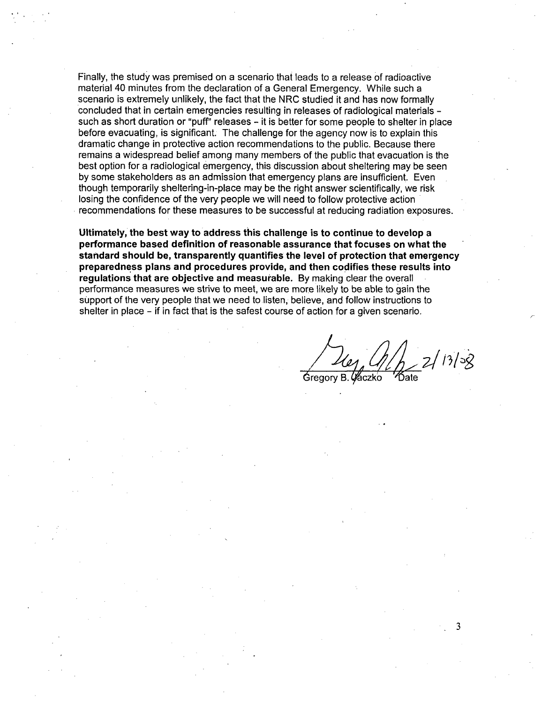Finally, the study was premised on a scenario that leads to a release of radioactive material 40 minutes from the declaration of a General Emergency. While such a scenario is extremely unlikely, the fact that the NRC studied it and has now formally concluded that in certain emergencies resulting in releases of radiological materials such as short duration or "puff" releases - it is better for some people to shelter in place before evacuating, is significant. The challenge for the agency now is to explain this dramatic change in protective action recommendations to the public. Because there remains a widespread belief among many members of the public that evacuation is the best option for a radiological emergency, this discussion about sheltering may be seen by some stakeholders as an admission that emergency plans are insufficient. Even though temporarily sheltering-in-place may be the right answer scientifically, we risk losing the confidence of the very people we will need to follow protective action recommendations for these measures to be successful at reducing radiation exposures.

Ultimately, the best way to address this challenge is to continue to develop a performance based definition of reasonable assurance that focuses on what the standard should be, transparently quantifies the level of protection that emergency preparedness plans and procedures provide, and then codifies these results into regulations that are objective and measurable. **By** making clear the overall performance measures we strive to meet, we are more likely to be able to gain the support of the very people that we need to listen, believe, and follow instructions to shelter in place - if in fact that is the safest course of action for a given scenario.

 $2/13/58$ 4% B. 92

**3**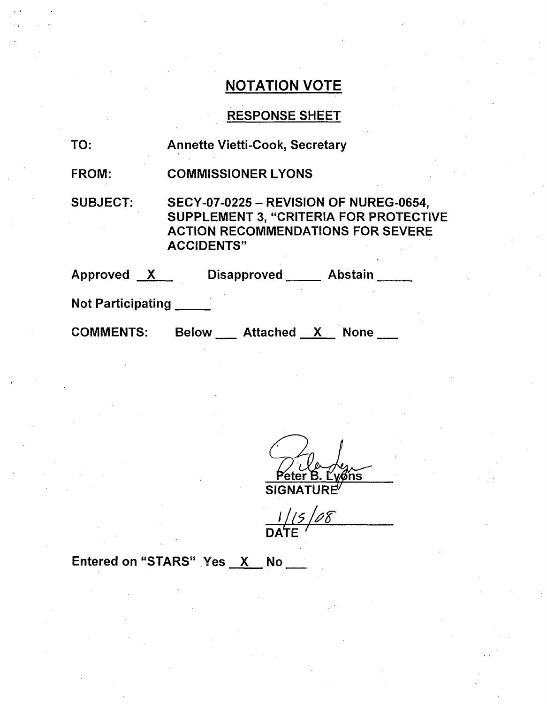## RESPONSE SHEET

TO: Annette Vietti-Cook, Secretary

FROM: COMMISSIONER LYONS

SUBJECT: SECY-07-0225 - REVISION OF NUREG-0654, SUPPLEMENT 3, "CRITERIA FOR PROTECTIVE ACTION RECOMMENDATIONS FOR SEVERE ACCIDENTS"

| <b>Approved</b>          | <b>Disapproved</b> | <b>Abstain</b> |  |
|--------------------------|--------------------|----------------|--|
| <b>Not Participating</b> |                    |                |  |

COMMENTS: Below Attached X None

5. <u>Ly⁄ons</u><br>⊔RF

**SIGNA** 

15/08 DATE

Entered on "STARS" Yes  $X$  No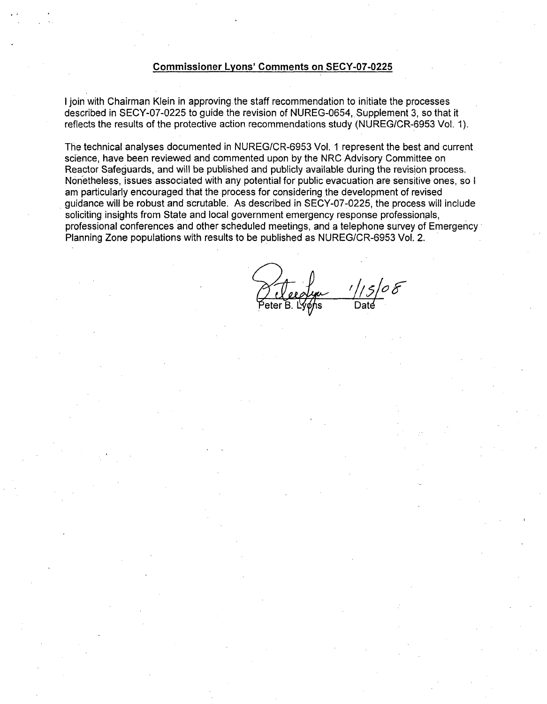#### Commissioner Lyons' Comments on **SECY-07-0225**

I join with Chairman Klein in approving the staff recommendation to initiate the processes described in SECY-07-0225 to guide the revision of NUREG-0654, Supplement 3, so that it reflects the results of the protective action recommendations study (NUREG/CR-6953 Vol. 1).

The technical analyses documented in NUREG/CR-6953 Vol. 1 represent the best and current science, have been reviewed and commented upon by the NRC Advisory Committee on Reactor Safeguards, and will be published and publicly available during the revision process. Nonetheless, issues associated with any potential for public evacuation are sensitive ones, so I am particularly encouraged that the process for considering the development of revised guidance will be robust and scrutable. As described in SECY-07-0225, the process will include soliciting insights from State and local government emergency response professionals, professional conferences and other scheduled meetings, and a telephone survey of Emergency Planning Zone populations with results to be published as NUREG/CR-6953 Vol. 2.

eter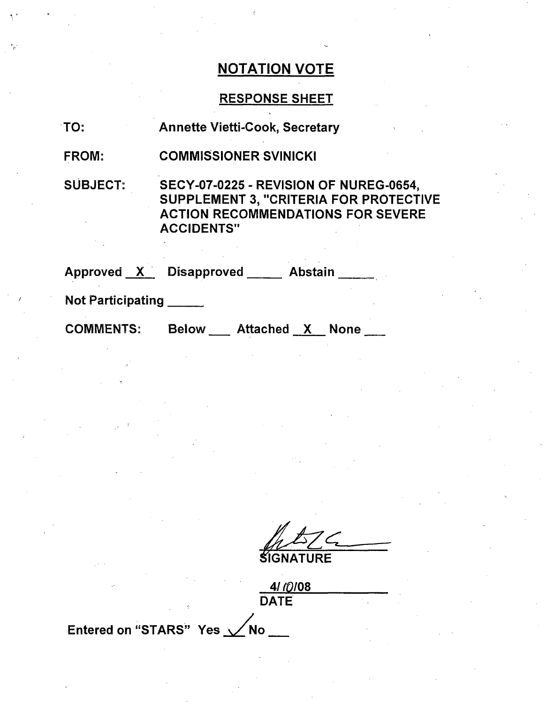## RESPONSE SHEET

FROM: COMMISSIONER SVINICKI

SUBJECT: SECY-07-0225 - REVISION OF NUREG-0654, SUPPLEMENT 3, "CRITERIA FOR PROTECTIVE ACTION RECOMMENDATIONS FOR SEVERE ACCIDENTS"

Approved X Disapproved Abstain

Not Participating

COMMENTS:

Below \_\_ Attached X None \_

**LGNATURE**

*4/!0108* **DATE** Entered on "STARS" Yes  $\sqrt{N}$